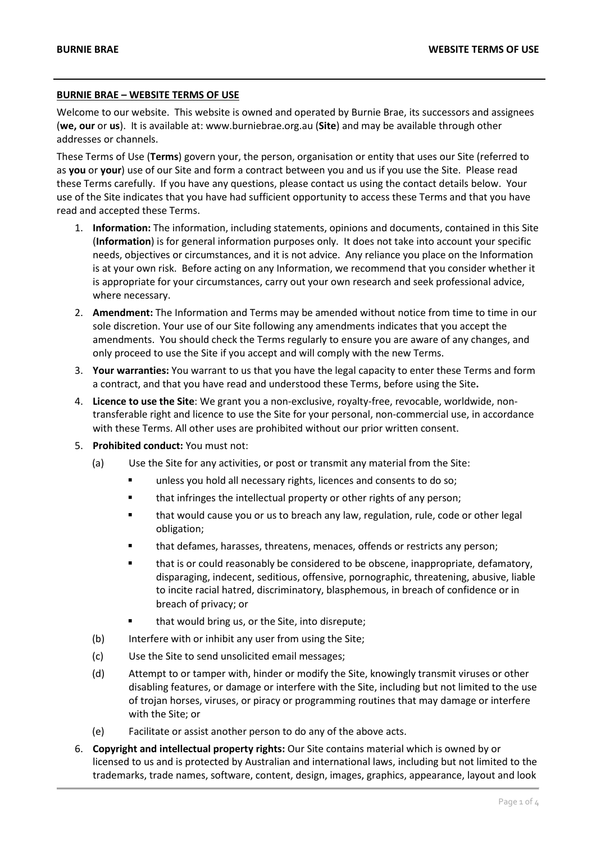## **BURNIE BRAE – WEBSITE TERMS OF USE**

Welcome to our website. This website is owned and operated by Burnie Brae, its successors and assignees (**we, our** or **us**). It is available at: www.burniebrae.org.au (**Site**) and may be available through other addresses or channels.

These Terms of Use (**Terms**) govern your, the person, organisation or entity that uses our Site (referred to as **you** or **your**) use of our Site and form a contract between you and us if you use the Site. Please read these Terms carefully. If you have any questions, please contact us using the contact details below. Your use of the Site indicates that you have had sufficient opportunity to access these Terms and that you have read and accepted these Terms.

- 1. **Information:** The information, including statements, opinions and documents, contained in this Site (**Information**) is for general information purposes only. It does not take into account your specific needs, objectives or circumstances, and it is not advice. Any reliance you place on the Information is at your own risk. Before acting on any Information, we recommend that you consider whether it is appropriate for your circumstances, carry out your own research and seek professional advice, where necessary.
- 2. **Amendment:** The Information and Terms may be amended without notice from time to time in our sole discretion. Your use of our Site following any amendments indicates that you accept the amendments. You should check the Terms regularly to ensure you are aware of any changes, and only proceed to use the Site if you accept and will comply with the new Terms.
- 3. **Your warranties:** You warrant to us that you have the legal capacity to enter these Terms and form a contract, and that you have read and understood these Terms, before using the Site**.**
- 4. **Licence to use the Site**: We grant you a non-exclusive, royalty-free, revocable, worldwide, nontransferable right and licence to use the Site for your personal, non-commercial use, in accordance with these Terms. All other uses are prohibited without our prior written consent.
- 5. **Prohibited conduct:** You must not:
	- (a) Use the Site for any activities, or post or transmit any material from the Site:
		- **unless you hold all necessary rights, licences and consents to do so;**
		- **that infringes the intellectual property or other rights of any person;**
		- that would cause you or us to breach any law, regulation, rule, code or other legal obligation;
		- that defames, harasses, threatens, menaces, offends or restricts any person;
		- that is or could reasonably be considered to be obscene, inappropriate, defamatory, disparaging, indecent, seditious, offensive, pornographic, threatening, abusive, liable to incite racial hatred, discriminatory, blasphemous, in breach of confidence or in breach of privacy; or
		- that would bring us, or the Site, into disrepute;
	- (b) Interfere with or inhibit any user from using the Site;
	- (c) Use the Site to send unsolicited email messages;
	- (d) Attempt to or tamper with, hinder or modify the Site, knowingly transmit viruses or other disabling features, or damage or interfere with the Site, including but not limited to the use of trojan horses, viruses, or piracy or programming routines that may damage or interfere with the Site; or
	- (e) Facilitate or assist another person to do any of the above acts.
- 6. **Copyright and intellectual property rights:** Our Site contains material which is owned by or licensed to us and is protected by Australian and international laws, including but not limited to the trademarks, trade names, software, content, design, images, graphics, appearance, layout and look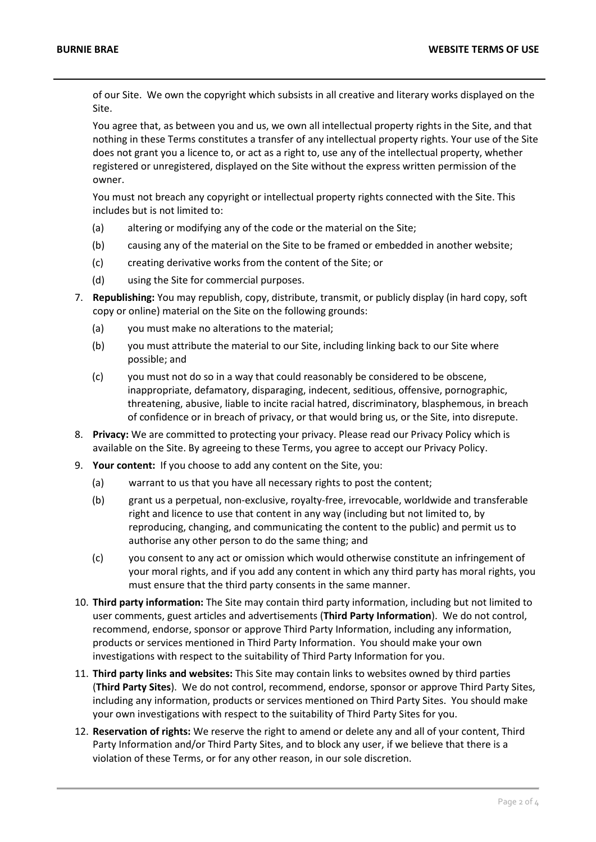of our Site. We own the copyright which subsists in all creative and literary works displayed on the Site.

You agree that, as between you and us, we own all intellectual property rights in the Site, and that nothing in these Terms constitutes a transfer of any intellectual property rights. Your use of the Site does not grant you a licence to, or act as a right to, use any of the intellectual property, whether registered or unregistered, displayed on the Site without the express written permission of the owner.

You must not breach any copyright or intellectual property rights connected with the Site. This includes but is not limited to:

- (a) altering or modifying any of the code or the material on the Site;
- (b) causing any of the material on the Site to be framed or embedded in another website;
- (c) creating derivative works from the content of the Site; or
- (d) using the Site for commercial purposes.
- 7. **Republishing:** You may republish, copy, distribute, transmit, or publicly display (in hard copy, soft copy or online) material on the Site on the following grounds:
	- (a) you must make no alterations to the material;
	- (b) you must attribute the material to our Site, including linking back to our Site where possible; and
	- (c) you must not do so in a way that could reasonably be considered to be obscene, inappropriate, defamatory, disparaging, indecent, seditious, offensive, pornographic, threatening, abusive, liable to incite racial hatred, discriminatory, blasphemous, in breach of confidence or in breach of privacy, or that would bring us, or the Site, into disrepute.
- 8. **Privacy:** We are committed to protecting your privacy. Please read our Privacy Policy which is available on the Site. By agreeing to these Terms, you agree to accept our Privacy Policy.
- 9. **Your content:** If you choose to add any content on the Site, you:
	- (a) warrant to us that you have all necessary rights to post the content;
	- (b) grant us a perpetual, non-exclusive, royalty-free, irrevocable, worldwide and transferable right and licence to use that content in any way (including but not limited to, by reproducing, changing, and communicating the content to the public) and permit us to authorise any other person to do the same thing; and
	- (c) you consent to any act or omission which would otherwise constitute an infringement of your moral rights, and if you add any content in which any third party has moral rights, you must ensure that the third party consents in the same manner.
- 10. **Third party information:** The Site may contain third party information, including but not limited to user comments, guest articles and advertisements (**Third Party Information**). We do not control, recommend, endorse, sponsor or approve Third Party Information, including any information, products or services mentioned in Third Party Information. You should make your own investigations with respect to the suitability of Third Party Information for you.
- 11. **Third party links and websites:** This Site may contain links to websites owned by third parties (**Third Party Sites**). We do not control, recommend, endorse, sponsor or approve Third Party Sites, including any information, products or services mentioned on Third Party Sites. You should make your own investigations with respect to the suitability of Third Party Sites for you.
- 12. **Reservation of rights:** We reserve the right to amend or delete any and all of your content, Third Party Information and/or Third Party Sites, and to block any user, if we believe that there is a violation of these Terms, or for any other reason, in our sole discretion.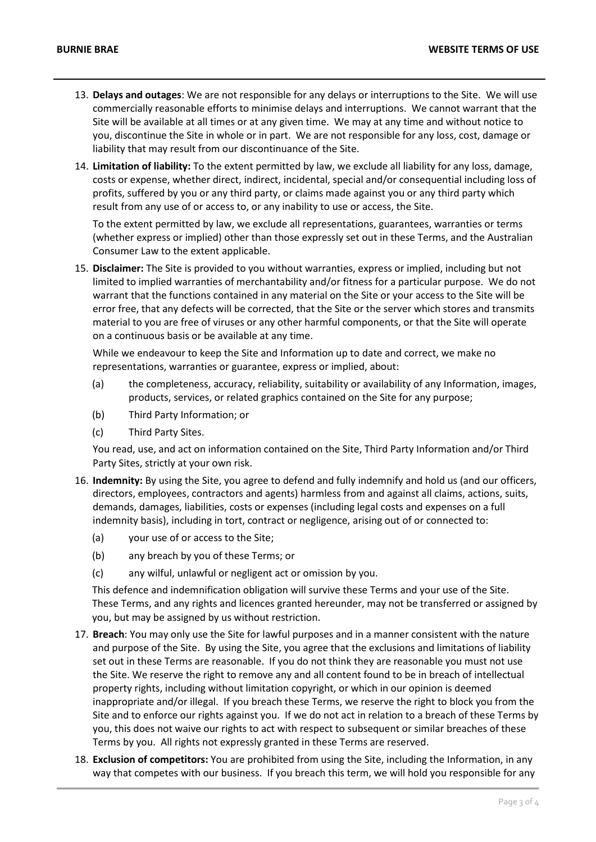- 13. **Delays and outages**: We are not responsible for any delays or interruptions to the Site. We will use commercially reasonable efforts to minimise delays and interruptions. We cannot warrant that the Site will be available at all times or at any given time. We may at any time and without notice to you, discontinue the Site in whole or in part. We are not responsible for any loss, cost, damage or liability that may result from our discontinuance of the Site.
- 14. **Limitation of liability:** To the extent permitted by law, we exclude all liability for any loss, damage, costs or expense, whether direct, indirect, incidental, special and/or consequential including loss of profits, suffered by you or any third party, or claims made against you or any third party which result from any use of or access to, or any inability to use or access, the Site.

To the extent permitted by law, we exclude all representations, guarantees, warranties or terms (whether express or implied) other than those expressly set out in these Terms, and the Australian Consumer Law to the extent applicable.

15. **Disclaimer:** The Site is provided to you without warranties, express or implied, including but not limited to implied warranties of merchantability and/or fitness for a particular purpose. We do not warrant that the functions contained in any material on the Site or your access to the Site will be error free, that any defects will be corrected, that the Site or the server which stores and transmits material to you are free of viruses or any other harmful components, or that the Site will operate on a continuous basis or be available at any time.

While we endeavour to keep the Site and Information up to date and correct, we make no representations, warranties or guarantee, express or implied, about:

- (a) the completeness, accuracy, reliability, suitability or availability of any Information, images, products, services, or related graphics contained on the Site for any purpose;
- (b) Third Party Information; or
- (c) Third Party Sites.

You read, use, and act on information contained on the Site, Third Party Information and/or Third Party Sites, strictly at your own risk.

- 16. **Indemnity:** By using the Site, you agree to defend and fully indemnify and hold us (and our officers, directors, employees, contractors and agents) harmless from and against all claims, actions, suits, demands, damages, liabilities, costs or expenses (including legal costs and expenses on a full indemnity basis), including in tort, contract or negligence, arising out of or connected to:
	- (a) your use of or access to the Site;
	- (b) any breach by you of these Terms; or
	- (c) any wilful, unlawful or negligent act or omission by you.

This defence and indemnification obligation will survive these Terms and your use of the Site. These Terms, and any rights and licences granted hereunder, may not be transferred or assigned by you, but may be assigned by us without restriction.

- 17. **Breach**: You may only use the Site for lawful purposes and in a manner consistent with the nature and purpose of the Site. By using the Site, you agree that the exclusions and limitations of liability set out in these Terms are reasonable. If you do not think they are reasonable you must not use the Site. We reserve the right to remove any and all content found to be in breach of intellectual property rights, including without limitation copyright, or which in our opinion is deemed inappropriate and/or illegal. If you breach these Terms, we reserve the right to block you from the Site and to enforce our rights against you. If we do not act in relation to a breach of these Terms by you, this does not waive our rights to act with respect to subsequent or similar breaches of these Terms by you. All rights not expressly granted in these Terms are reserved.
- 18. **Exclusion of competitors:** You are prohibited from using the Site, including the Information, in any way that competes with our business. If you breach this term, we will hold you responsible for any